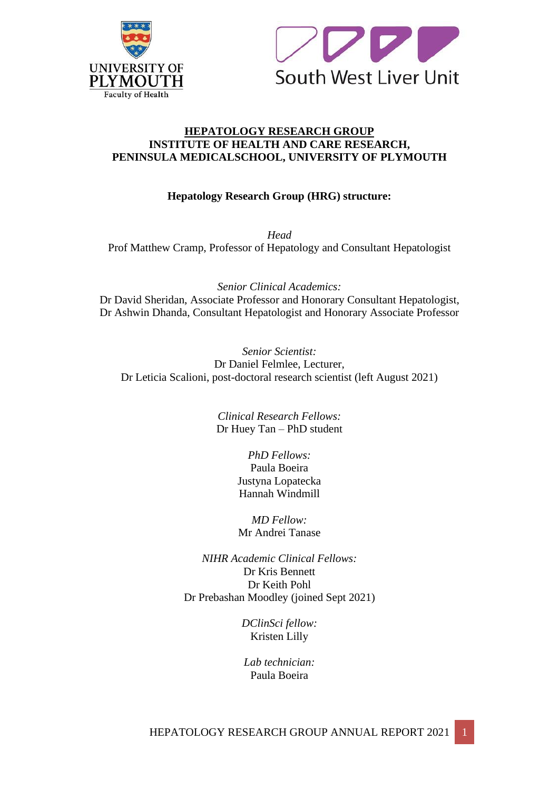



### **HEPATOLOGY RESEARCH GROUP INSTITUTE OF HEALTH AND CARE RESEARCH, PENINSULA MEDICALSCHOOL, UNIVERSITY OF PLYMOUTH**

### **Hepatology Research Group (HRG) structure:**

*Head* Prof Matthew Cramp, Professor of Hepatology and Consultant Hepatologist

*Senior Clinical Academics:* Dr David Sheridan, Associate Professor and Honorary Consultant Hepatologist, Dr Ashwin Dhanda, Consultant Hepatologist and Honorary Associate Professor

*Senior Scientist:* Dr Daniel Felmlee, Lecturer, Dr Leticia Scalioni, post-doctoral research scientist (left August 2021)

> *Clinical Research Fellows:* Dr Huey Tan – PhD student

> > *PhD Fellows:* Paula Boeira Justyna Lopatecka Hannah Windmill

> > *MD Fellow:* Mr Andrei Tanase

*NIHR Academic Clinical Fellows:* Dr Kris Bennett Dr Keith Pohl Dr Prebashan Moodley (joined Sept 2021)

> *DClinSci fellow:* Kristen Lilly

*Lab technician:* Paula Boeira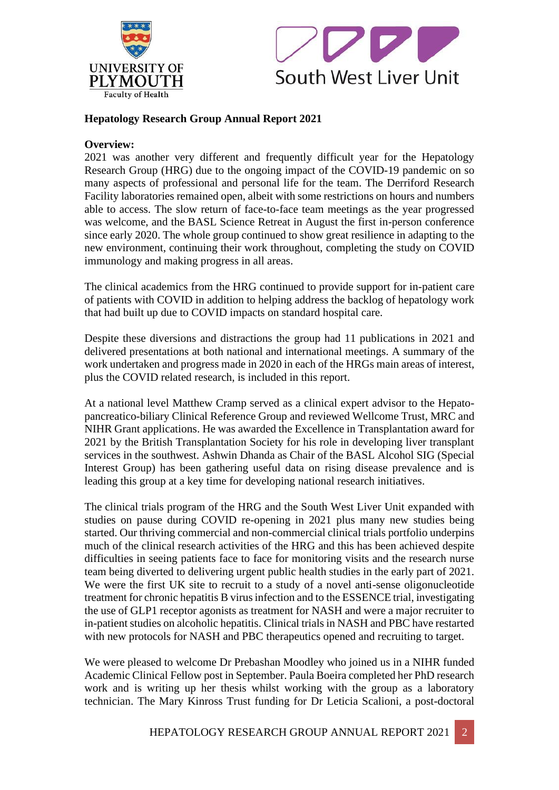



### **Hepatology Research Group Annual Report 2021**

### **Overview:**

2021 was another very different and frequently difficult year for the Hepatology Research Group (HRG) due to the ongoing impact of the COVID-19 pandemic on so many aspects of professional and personal life for the team. The Derriford Research Facility laboratories remained open, albeit with some restrictions on hours and numbers able to access. The slow return of face-to-face team meetings as the year progressed was welcome, and the BASL Science Retreat in August the first in-person conference since early 2020. The whole group continued to show great resilience in adapting to the new environment, continuing their work throughout, completing the study on COVID immunology and making progress in all areas.

The clinical academics from the HRG continued to provide support for in-patient care of patients with COVID in addition to helping address the backlog of hepatology work that had built up due to COVID impacts on standard hospital care.

Despite these diversions and distractions the group had 11 publications in 2021 and delivered presentations at both national and international meetings. A summary of the work undertaken and progress made in 2020 in each of the HRGs main areas of interest, plus the COVID related research, is included in this report.

At a national level Matthew Cramp served as a clinical expert advisor to the Hepatopancreatico-biliary Clinical Reference Group and reviewed Wellcome Trust, MRC and NIHR Grant applications. He was awarded the Excellence in Transplantation award for 2021 by the British Transplantation Society for his role in developing liver transplant services in the southwest. Ashwin Dhanda as Chair of the BASL Alcohol SIG (Special Interest Group) has been gathering useful data on rising disease prevalence and is leading this group at a key time for developing national research initiatives.

The clinical trials program of the HRG and the South West Liver Unit expanded with studies on pause during COVID re-opening in 2021 plus many new studies being started. Our thriving commercial and non-commercial clinical trials portfolio underpins much of the clinical research activities of the HRG and this has been achieved despite difficulties in seeing patients face to face for monitoring visits and the research nurse team being diverted to delivering urgent public health studies in the early part of 2021. We were the first UK site to recruit to a study of a novel anti-sense oligonucleotide treatment for chronic hepatitis B virus infection and to the ESSENCE trial, investigating the use of GLP1 receptor agonists as treatment for NASH and were a major recruiter to in-patient studies on alcoholic hepatitis. Clinical trials in NASH and PBC have restarted with new protocols for NASH and PBC therapeutics opened and recruiting to target.

We were pleased to welcome Dr Prebashan Moodley who joined us in a NIHR funded Academic Clinical Fellow post in September. Paula Boeira completed her PhD research work and is writing up her thesis whilst working with the group as a laboratory technician. The Mary Kinross Trust funding for Dr Leticia Scalioni, a post-doctoral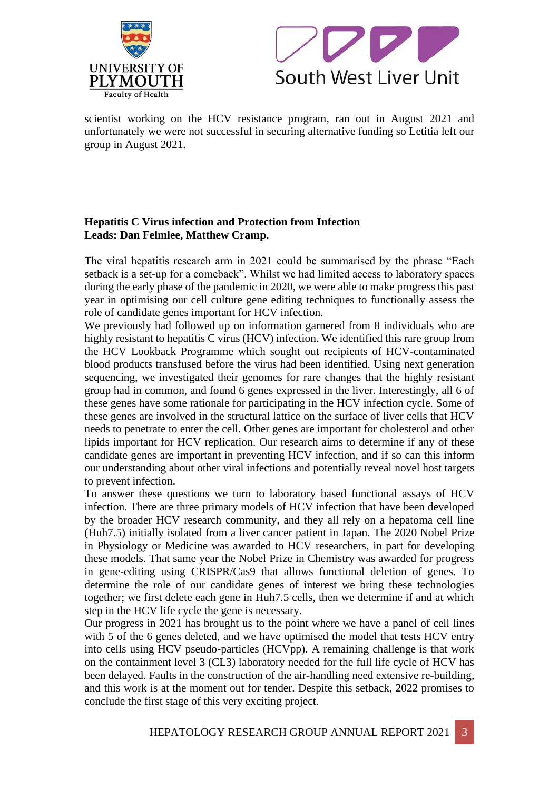



scientist working on the HCV resistance program, ran out in August 2021 and unfortunately we were not successful in securing alternative funding so Letitia left our group in August 2021.

### **Hepatitis C Virus infection and Protection from Infection Leads: Dan Felmlee, Matthew Cramp.**

The viral hepatitis research arm in 2021 could be summarised by the phrase "Each setback is a set-up for a comeback". Whilst we had limited access to laboratory spaces during the early phase of the pandemic in 2020, we were able to make progress this past year in optimising our cell culture gene editing techniques to functionally assess the role of candidate genes important for HCV infection.

We previously had followed up on information garnered from 8 individuals who are highly resistant to hepatitis C virus (HCV) infection. We identified this rare group from the HCV Lookback Programme which sought out recipients of HCV-contaminated blood products transfused before the virus had been identified. Using next generation sequencing, we investigated their genomes for rare changes that the highly resistant group had in common, and found 6 genes expressed in the liver. Interestingly, all 6 of these genes have some rationale for participating in the HCV infection cycle. Some of these genes are involved in the structural lattice on the surface of liver cells that HCV needs to penetrate to enter the cell. Other genes are important for cholesterol and other lipids important for HCV replication. Our research aims to determine if any of these candidate genes are important in preventing HCV infection, and if so can this inform our understanding about other viral infections and potentially reveal novel host targets to prevent infection.

To answer these questions we turn to laboratory based functional assays of HCV infection. There are three primary models of HCV infection that have been developed by the broader HCV research community, and they all rely on a hepatoma cell line (Huh7.5) initially isolated from a liver cancer patient in Japan. The 2020 Nobel Prize in Physiology or Medicine was awarded to HCV researchers, in part for developing these models. That same year the Nobel Prize in Chemistry was awarded for progress in gene-editing using CRISPR/Cas9 that allows functional deletion of genes. To determine the role of our candidate genes of interest we bring these technologies together; we first delete each gene in Huh7.5 cells, then we determine if and at which step in the HCV life cycle the gene is necessary.

Our progress in 2021 has brought us to the point where we have a panel of cell lines with 5 of the 6 genes deleted, and we have optimised the model that tests HCV entry into cells using HCV pseudo-particles (HCVpp). A remaining challenge is that work on the containment level 3 (CL3) laboratory needed for the full life cycle of HCV has been delayed. Faults in the construction of the air-handling need extensive re-building, and this work is at the moment out for tender. Despite this setback, 2022 promises to conclude the first stage of this very exciting project.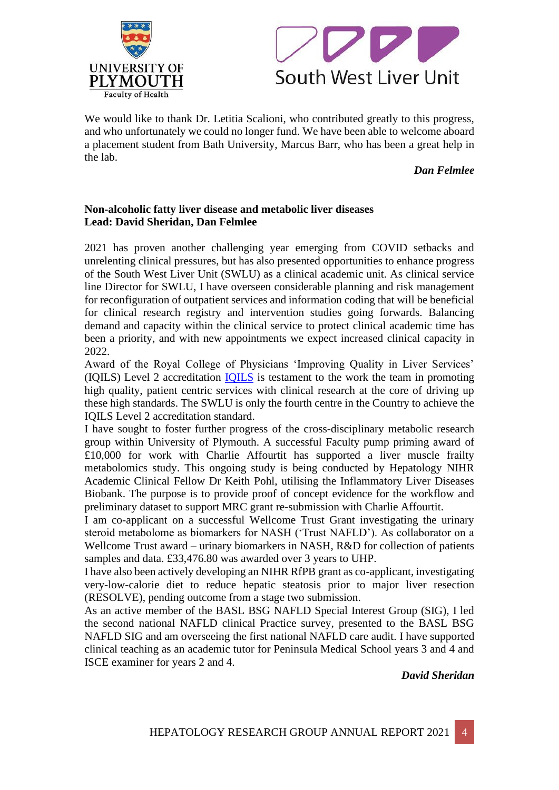



We would like to thank Dr. Letitia Scalioni, who contributed greatly to this progress, and who unfortunately we could no longer fund. We have been able to welcome aboard a placement student from Bath University, Marcus Barr, who has been a great help in the lab.

#### *Dan Felmlee*

### **Non-alcoholic fatty liver disease and metabolic liver diseases Lead: David Sheridan, Dan Felmlee**

2021 has proven another challenging year emerging from COVID setbacks and unrelenting clinical pressures, but has also presented opportunities to enhance progress of the South West Liver Unit (SWLU) as a clinical academic unit. As clinical service line Director for SWLU, I have overseen considerable planning and risk management for reconfiguration of outpatient services and information coding that will be beneficial for clinical research registry and intervention studies going forwards. Balancing demand and capacity within the clinical service to protect clinical academic time has been a priority, and with new appointments we expect increased clinical capacity in 2022.

Award of the Royal College of Physicians 'Improving Quality in Liver Services' (IQILS) Level 2 accreditation [IQILS](about:blank) is testament to the work the team in promoting high quality, patient centric services with clinical research at the core of driving up these high standards. The SWLU is only the fourth centre in the Country to achieve the IQILS Level 2 accreditation standard.

I have sought to foster further progress of the cross-disciplinary metabolic research group within University of Plymouth. A successful Faculty pump priming award of £10,000 for work with Charlie Affourtit has supported a liver muscle frailty metabolomics study. This ongoing study is being conducted by Hepatology NIHR Academic Clinical Fellow Dr Keith Pohl, utilising the Inflammatory Liver Diseases Biobank. The purpose is to provide proof of concept evidence for the workflow and preliminary dataset to support MRC grant re-submission with Charlie Affourtit.

I am co-applicant on a successful Wellcome Trust Grant investigating the urinary steroid metabolome as biomarkers for NASH ('Trust NAFLD'). As collaborator on a Wellcome Trust award – urinary biomarkers in NASH, R&D for collection of patients samples and data. £33,476.80 was awarded over 3 years to UHP.

I have also been actively developing an NIHR RfPB grant as co-applicant, investigating very-low-calorie diet to reduce hepatic steatosis prior to major liver resection (RESOLVE), pending outcome from a stage two submission.

As an active member of the BASL BSG NAFLD Special Interest Group (SIG), I led the second national NAFLD clinical Practice survey, presented to the BASL BSG NAFLD SIG and am overseeing the first national NAFLD care audit. I have supported clinical teaching as an academic tutor for Peninsula Medical School years 3 and 4 and ISCE examiner for years 2 and 4.

*David Sheridan*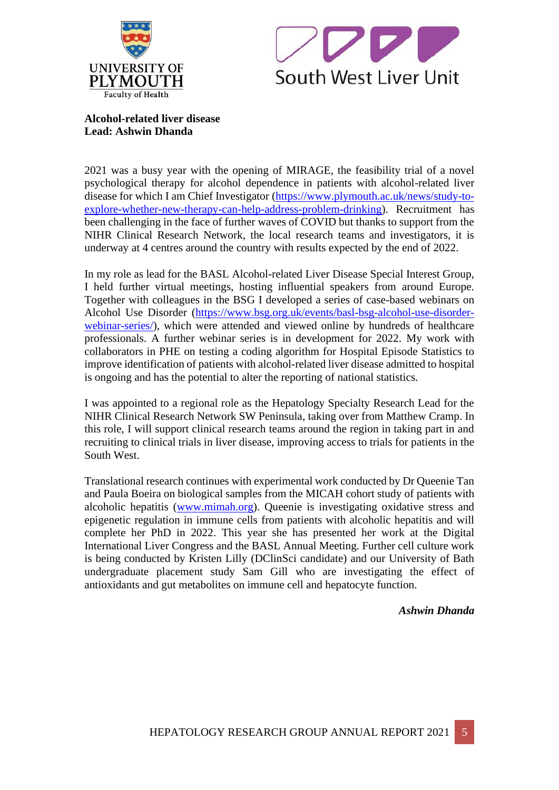



**Alcohol-related liver disease Lead: Ashwin Dhanda**

2021 was a busy year with the opening of MIRAGE, the feasibility trial of a novel psychological therapy for alcohol dependence in patients with alcohol-related liver disease for which I am Chief Investigator [\(https://www.plymouth.ac.uk/news/study-to](about:blank)[explore-whether-new-therapy-can-help-address-problem-drinking\)](about:blank). Recruitment has been challenging in the face of further waves of COVID but thanks to support from the NIHR Clinical Research Network, the local research teams and investigators, it is underway at 4 centres around the country with results expected by the end of 2022.

In my role as lead for the BASL Alcohol-related Liver Disease Special Interest Group, I held further virtual meetings, hosting influential speakers from around Europe. Together with colleagues in the BSG I developed a series of case-based webinars on Alcohol Use Disorder [\(https://www.bsg.org.uk/events/basl-bsg-alcohol-use-disorder](about:blank)[webinar-series/\)](about:blank), which were attended and viewed online by hundreds of healthcare professionals. A further webinar series is in development for 2022. My work with collaborators in PHE on testing a coding algorithm for Hospital Episode Statistics to improve identification of patients with alcohol-related liver disease admitted to hospital is ongoing and has the potential to alter the reporting of national statistics.

I was appointed to a regional role as the Hepatology Specialty Research Lead for the NIHR Clinical Research Network SW Peninsula, taking over from Matthew Cramp. In this role, I will support clinical research teams around the region in taking part in and recruiting to clinical trials in liver disease, improving access to trials for patients in the South West.

Translational research continues with experimental work conducted by Dr Queenie Tan and Paula Boeira on biological samples from the MICAH cohort study of patients with alcoholic hepatitis [\(www.mimah.org\)](about:blank). Queenie is investigating oxidative stress and epigenetic regulation in immune cells from patients with alcoholic hepatitis and will complete her PhD in 2022. This year she has presented her work at the Digital International Liver Congress and the BASL Annual Meeting. Further cell culture work is being conducted by Kristen Lilly (DClinSci candidate) and our University of Bath undergraduate placement study Sam Gill who are investigating the effect of antioxidants and gut metabolites on immune cell and hepatocyte function.

*Ashwin Dhanda*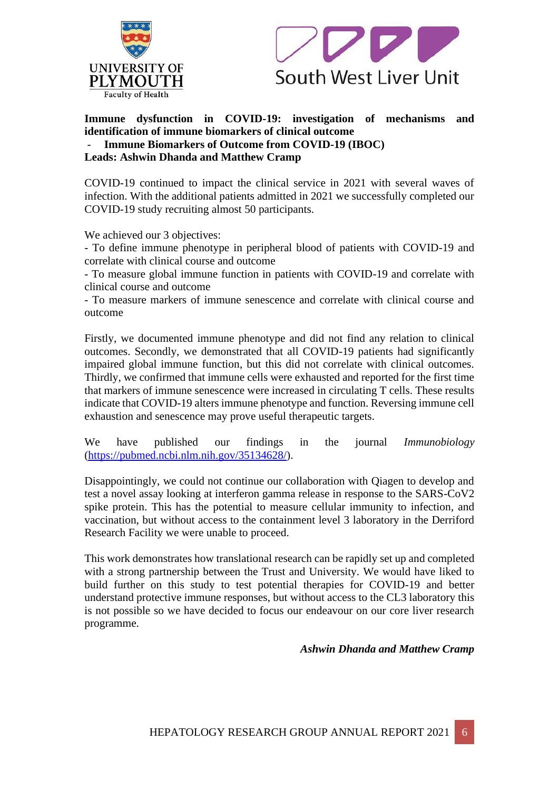



**Immune dysfunction in COVID-19: investigation of mechanisms and identification of immune biomarkers of clinical outcome**

- **Immune Biomarkers of Outcome from COVID-19 (IBOC)**

**Leads: Ashwin Dhanda and Matthew Cramp**

COVID-19 continued to impact the clinical service in 2021 with several waves of infection. With the additional patients admitted in 2021 we successfully completed our COVID-19 study recruiting almost 50 participants.

We achieved our 3 objectives:

- To define immune phenotype in peripheral blood of patients with COVID-19 and correlate with clinical course and outcome

- To measure global immune function in patients with COVID-19 and correlate with clinical course and outcome

- To measure markers of immune senescence and correlate with clinical course and outcome

Firstly, we documented immune phenotype and did not find any relation to clinical outcomes. Secondly, we demonstrated that all COVID-19 patients had significantly impaired global immune function, but this did not correlate with clinical outcomes. Thirdly, we confirmed that immune cells were exhausted and reported for the first time that markers of immune senescence were increased in circulating T cells. These results indicate that COVID-19 alters immune phenotype and function. Reversing immune cell exhaustion and senescence may prove useful therapeutic targets.

We have published our findings in the journal *Immunobiology* [\(https://pubmed.ncbi.nlm.nih.gov/35134628/\)](about:blank).

Disappointingly, we could not continue our collaboration with Qiagen to develop and test a novel assay looking at interferon gamma release in response to the SARS-CoV2 spike protein. This has the potential to measure cellular immunity to infection, and vaccination, but without access to the containment level 3 laboratory in the Derriford Research Facility we were unable to proceed.

This work demonstrates how translational research can be rapidly set up and completed with a strong partnership between the Trust and University. We would have liked to build further on this study to test potential therapies for COVID-19 and better understand protective immune responses, but without access to the CL3 laboratory this is not possible so we have decided to focus our endeavour on our core liver research programme.

*Ashwin Dhanda and Matthew Cramp*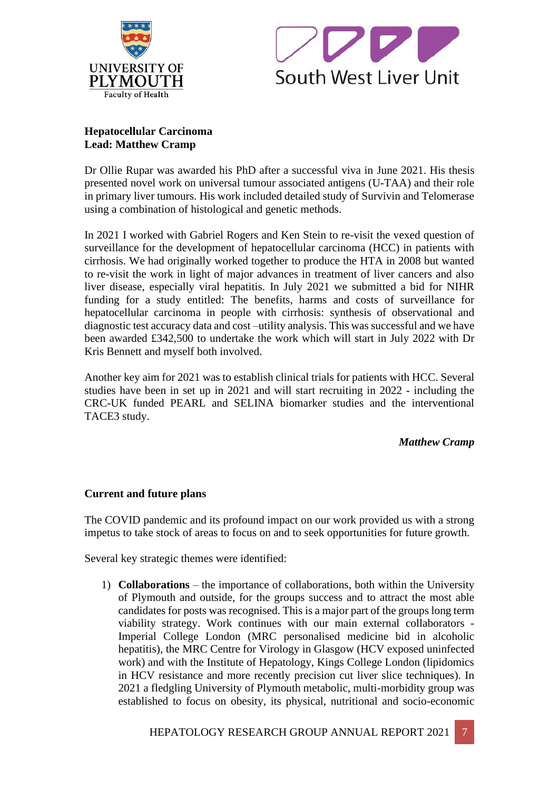



### **Hepatocellular Carcinoma Lead: Matthew Cramp**

Dr Ollie Rupar was awarded his PhD after a successful viva in June 2021. His thesis presented novel work on universal tumour associated antigens (U-TAA) and their role in primary liver tumours. His work included detailed study of Survivin and Telomerase using a combination of histological and genetic methods.

In 2021 I worked with Gabriel Rogers and Ken Stein to re-visit the vexed question of surveillance for the development of hepatocellular carcinoma (HCC) in patients with cirrhosis. We had originally worked together to produce the HTA in 2008 but wanted to re-visit the work in light of major advances in treatment of liver cancers and also liver disease, especially viral hepatitis. In July 2021 we submitted a bid for NIHR funding for a study entitled: The benefits, harms and costs of surveillance for hepatocellular carcinoma in people with cirrhosis: synthesis of observational and diagnostic test accuracy data and cost –utility analysis. This was successful and we have been awarded £342,500 to undertake the work which will start in July 2022 with Dr Kris Bennett and myself both involved.

Another key aim for 2021 was to establish clinical trials for patients with HCC. Several studies have been in set up in 2021 and will start recruiting in 2022 - including the CRC-UK funded PEARL and SELINA biomarker studies and the interventional TACE3 study.

*Matthew Cramp*

### **Current and future plans**

The COVID pandemic and its profound impact on our work provided us with a strong impetus to take stock of areas to focus on and to seek opportunities for future growth.

Several key strategic themes were identified:

1) **Collaborations** – the importance of collaborations, both within the University of Plymouth and outside, for the groups success and to attract the most able candidates for posts was recognised. This is a major part of the groups long term viability strategy. Work continues with our main external collaborators - Imperial College London (MRC personalised medicine bid in alcoholic hepatitis), the MRC Centre for Virology in Glasgow (HCV exposed uninfected work) and with the Institute of Hepatology, Kings College London (lipidomics in HCV resistance and more recently precision cut liver slice techniques). In 2021 a fledgling University of Plymouth metabolic, multi-morbidity group was established to focus on obesity, its physical, nutritional and socio-economic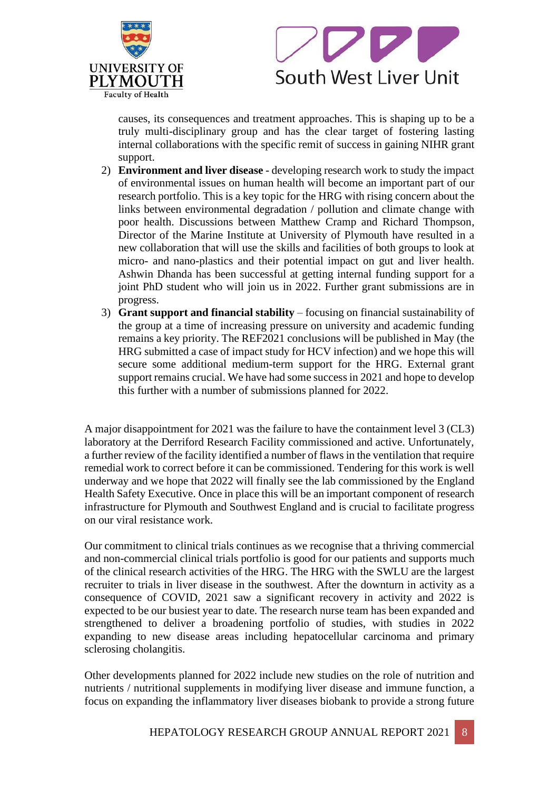



causes, its consequences and treatment approaches. This is shaping up to be a truly multi-disciplinary group and has the clear target of fostering lasting internal collaborations with the specific remit of success in gaining NIHR grant support.

- 2) **Environment and liver disease**  developing research work to study the impact of environmental issues on human health will become an important part of our research portfolio. This is a key topic for the HRG with rising concern about the links between environmental degradation / pollution and climate change with poor health. Discussions between Matthew Cramp and Richard Thompson, Director of the Marine Institute at University of Plymouth have resulted in a new collaboration that will use the skills and facilities of both groups to look at micro- and nano-plastics and their potential impact on gut and liver health. Ashwin Dhanda has been successful at getting internal funding support for a joint PhD student who will join us in 2022. Further grant submissions are in progress.
- 3) **Grant support and financial stability** focusing on financial sustainability of the group at a time of increasing pressure on university and academic funding remains a key priority. The REF2021 conclusions will be published in May (the HRG submitted a case of impact study for HCV infection) and we hope this will secure some additional medium-term support for the HRG. External grant support remains crucial. We have had some success in 2021 and hope to develop this further with a number of submissions planned for 2022.

A major disappointment for 2021 was the failure to have the containment level 3 (CL3) laboratory at the Derriford Research Facility commissioned and active. Unfortunately, a further review of the facility identified a number of flaws in the ventilation that require remedial work to correct before it can be commissioned. Tendering for this work is well underway and we hope that 2022 will finally see the lab commissioned by the England Health Safety Executive. Once in place this will be an important component of research infrastructure for Plymouth and Southwest England and is crucial to facilitate progress on our viral resistance work.

Our commitment to clinical trials continues as we recognise that a thriving commercial and non-commercial clinical trials portfolio is good for our patients and supports much of the clinical research activities of the HRG. The HRG with the SWLU are the largest recruiter to trials in liver disease in the southwest. After the downturn in activity as a consequence of COVID, 2021 saw a significant recovery in activity and 2022 is expected to be our busiest year to date. The research nurse team has been expanded and strengthened to deliver a broadening portfolio of studies, with studies in 2022 expanding to new disease areas including hepatocellular carcinoma and primary sclerosing cholangitis.

Other developments planned for 2022 include new studies on the role of nutrition and nutrients / nutritional supplements in modifying liver disease and immune function, a focus on expanding the inflammatory liver diseases biobank to provide a strong future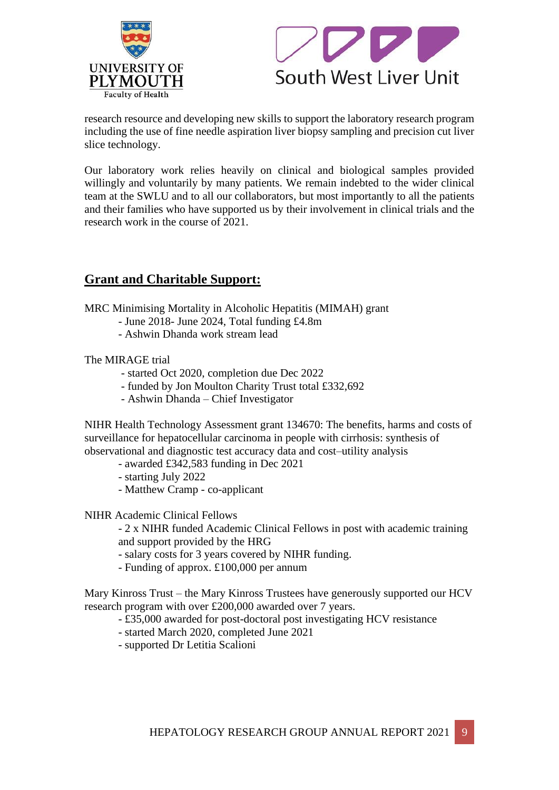



research resource and developing new skills to support the laboratory research program including the use of fine needle aspiration liver biopsy sampling and precision cut liver slice technology.

Our laboratory work relies heavily on clinical and biological samples provided willingly and voluntarily by many patients. We remain indebted to the wider clinical team at the SWLU and to all our collaborators, but most importantly to all the patients and their families who have supported us by their involvement in clinical trials and the research work in the course of 2021.

## **Grant and Charitable Support:**

MRC Minimising Mortality in Alcoholic Hepatitis (MIMAH) grant

- June 2018- June 2024, Total funding £4.8m
- Ashwin Dhanda work stream lead

The MIRAGE trial

- started Oct 2020, completion due Dec 2022
- funded by Jon Moulton Charity Trust total £332,692
- Ashwin Dhanda Chief Investigator

NIHR Health Technology Assessment grant 134670: The benefits, harms and costs of surveillance for hepatocellular carcinoma in people with cirrhosis: synthesis of observational and diagnostic test accuracy data and cost–utility analysis

- awarded £342,583 funding in Dec 2021
- starting July 2022
- Matthew Cramp co-applicant
- NIHR Academic Clinical Fellows

- 2 x NIHR funded Academic Clinical Fellows in post with academic training and support provided by the HRG

- salary costs for 3 years covered by NIHR funding.
- Funding of approx. £100,000 per annum

Mary Kinross Trust – the Mary Kinross Trustees have generously supported our HCV research program with over £200,000 awarded over 7 years.

- £35,000 awarded for post-doctoral post investigating HCV resistance
- started March 2020, completed June 2021
- supported Dr Letitia Scalioni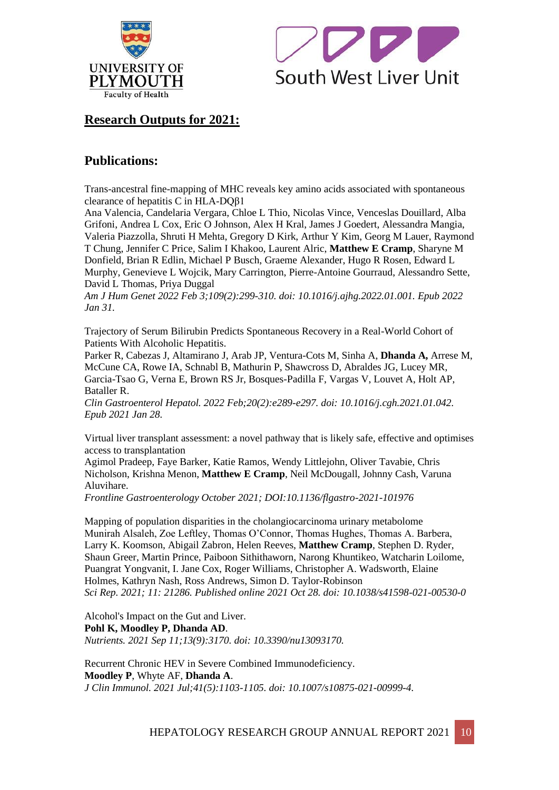



# **Research Outputs for 2021:**

# **Publications:**

Trans-ancestral fine-mapping of MHC reveals key amino acids associated with spontaneous clearance of hepatitis C in HLA-DQβ1

Ana Valencia, Candelaria Vergara, Chloe L Thio, Nicolas Vince, Venceslas Douillard, Alba Grifoni, Andrea L Cox, Eric O Johnson, Alex H Kral, James J Goedert, Alessandra Mangia, Valeria Piazzolla, Shruti H Mehta, Gregory D Kirk, Arthur Y Kim, Georg M Lauer, Raymond T Chung, Jennifer C Price, Salim I Khakoo, Laurent Alric, **Matthew E Cramp**, Sharyne M Donfield, Brian R Edlin, Michael P Busch, Graeme Alexander, Hugo R Rosen, Edward L Murphy, Genevieve L Wojcik, Mary Carrington, Pierre-Antoine Gourraud, Alessandro Sette, David L Thomas, Priya Duggal

*Am J Hum Genet 2022 Feb 3;109(2):299-310. doi: 10.1016/j.ajhg.2022.01.001. Epub 2022 Jan 31.*

Trajectory of Serum Bilirubin Predicts Spontaneous Recovery in a Real-World Cohort of Patients With Alcoholic Hepatitis.

Parker R, Cabezas J, Altamirano J, Arab JP, Ventura-Cots M, Sinha A, **Dhanda A,** Arrese M, McCune CA, Rowe IA, Schnabl B, Mathurin P, Shawcross D, Abraldes JG, Lucey MR, Garcia-Tsao G, Verna E, Brown RS Jr, Bosques-Padilla F, Vargas V, Louvet A, Holt AP, Bataller R.

*Clin Gastroenterol Hepatol. 2022 Feb;20(2):e289-e297. doi: 10.1016/j.cgh.2021.01.042. Epub 2021 Jan 28.*

Virtual liver transplant assessment: a novel pathway that is likely safe, effective and optimises access to transplantation

Agimol Pradeep, Faye Barker, Katie Ramos, Wendy Littlejohn, Oliver Tavabie, Chris Nicholson, Krishna Menon, **Matthew E Cramp**, Neil McDougall, Johnny Cash, Varuna Aluvihare.

*Frontline Gastroenterology October 2021; DOI:10.1136/flgastro-2021-101976*

Mapping of population disparities in the cholangiocarcinoma urinary metabolome Munirah Alsaleh, Zoe Leftley, Thomas O'Connor, Thomas Hughes, Thomas A. Barbera, Larry K. Koomson, Abigail Zabron, Helen Reeves, **Matthew Cramp**, Stephen D. Ryder, Shaun Greer, Martin Prince, Paiboon Sithithaworn, Narong Khuntikeo, Watcharin Loilome, Puangrat Yongvanit, I. Jane Cox, Roger Williams, Christopher A. Wadsworth, Elaine Holmes, Kathryn Nash, Ross Andrews, Simon D. Taylor-Robinson *Sci Rep. 2021; 11: 21286. Published online 2021 Oct 28. doi: 10.1038/s41598-021-00530-0*

Alcohol's Impact on the Gut and Liver. **Pohl K, Moodley P, Dhanda AD**. *Nutrients. 2021 Sep 11;13(9):3170. doi: 10.3390/nu13093170.*

Recurrent Chronic HEV in Severe Combined Immunodeficiency. **Moodley P**, Whyte AF, **Dhanda A**. *J Clin Immunol. 2021 Jul;41(5):1103-1105. doi: 10.1007/s10875-021-00999-4.*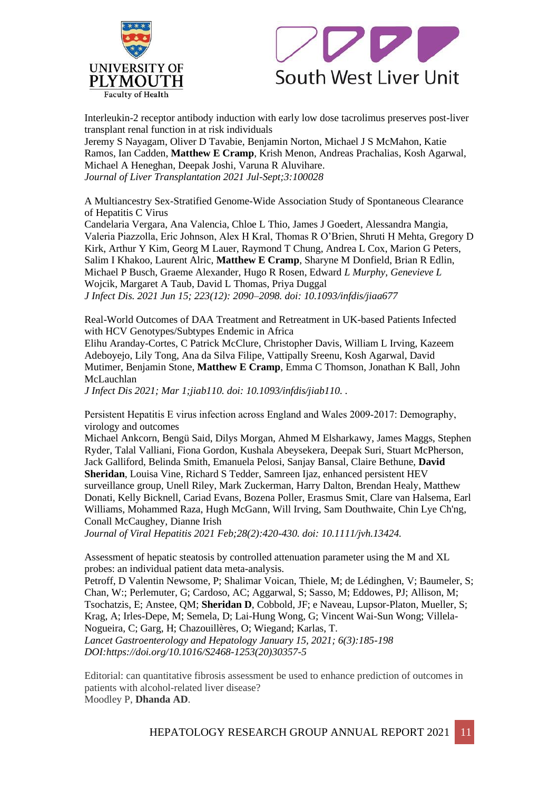



Interleukin-2 receptor antibody induction with early low dose tacrolimus preserves post-liver transplant renal function in at risk individuals

Jeremy S Nayagam, Oliver D Tavabie, Benjamin Norton, Michael J S McMahon, Katie Ramos, Ian Cadden, **Matthew E Cramp**, Krish Menon, Andreas Prachalias, Kosh Agarwal, Michael A Heneghan, Deepak Joshi, Varuna R Aluvihare. *Journal of Liver Transplantation 2021 Jul-Sept;3:100028*

A Multiancestry Sex-Stratified Genome-Wide Association Study of Spontaneous Clearance of Hepatitis C Virus

Candelaria Vergara, Ana Valencia, Chloe L Thio, James J Goedert, Alessandra Mangia, Valeria Piazzolla, Eric Johnson, Alex H Kral, Thomas R O'Brien, Shruti H Mehta, Gregory D Kirk, Arthur Y Kim, Georg M Lauer, Raymond T Chung, Andrea L Cox, Marion G Peters, Salim I Khakoo, Laurent Alric, **Matthew E Cramp**, Sharyne M Donfield, Brian R Edlin, Michael P Busch, Graeme Alexander, Hugo R Rosen, Edward *L Murphy, Genevieve L*  Wojcik, Margaret A Taub, David L Thomas, Priya Duggal *J Infect Dis. 2021 Jun 15; 223(12): 2090–2098. doi: 10.1093/infdis/jiaa677*

Real-World Outcomes of DAA Treatment and Retreatment in UK-based Patients Infected with HCV Genotypes/Subtypes Endemic in Africa

Elihu Aranday-Cortes, C Patrick McClure, Christopher Davis, William L Irving, Kazeem Adeboyejo, Lily Tong, Ana da Silva Filipe, Vattipally Sreenu, Kosh Agarwal, David Mutimer, Benjamin Stone, **Matthew E Cramp**, Emma C Thomson, Jonathan K Ball, John McLauchlan

*J Infect Dis 2021; Mar 1;jiab110. doi: 10.1093/infdis/jiab110. .*

Persistent Hepatitis E virus infection across England and Wales 2009‐2017: Demography, virology and outcomes

Michael Ankcorn, Bengü Said, Dilys Morgan, Ahmed M Elsharkawy, James Maggs, Stephen Ryder, Talal Valliani, Fiona Gordon, Kushala Abeysekera, Deepak Suri, Stuart McPherson, Jack Galliford, Belinda Smith, Emanuela Pelosi, Sanjay Bansal, Claire Bethune, **David Sheridan**, Louisa Vine, Richard S Tedder, Samreen Ijaz, enhanced persistent HEV surveillance group, Unell Riley, Mark Zuckerman, Harry Dalton, Brendan Healy, Matthew Donati, Kelly Bicknell, Cariad Evans, Bozena Poller, Erasmus Smit, Clare van Halsema, Earl Williams, Mohammed Raza, Hugh McGann, Will Irving, Sam Douthwaite, Chin Lye Ch'ng, Conall McCaughey, Dianne Irish

*Journal of Viral Hepatitis 2021 Feb;28(2):420-430. doi: 10.1111/jvh.13424.* 

Assessment of hepatic steatosis by controlled attenuation parameter using the M and XL probes: an individual patient data meta-analysis.

Petroff, D Valentin Newsome, P; Shalimar Voican, Thiele, M; de Lédinghen, V; Baumeler, S; Chan, W:; Perlemuter, G; Cardoso, AC; Aggarwal, S; Sasso, M; Eddowes, PJ; Allison, M; Tsochatzis, E; Anstee, QM; **Sheridan D**, Cobbold, JF; e Naveau, Lupsor-Platon, Mueller, S; Krag, A; Irles-Depe, M; Semela, D; Lai-Hung Wong, G; Vincent Wai-Sun Wong; Villela-Nogueira, C; Garg, H; Chazouillères, O; Wiegand; Karlas, T. *Lancet Gastroenterology and Hepatology January 15, 2021; 6(3):185-198 DOI:https://doi.org/10.1016/S2468-1253(20)30357-5*

Editorial: can quantitative fibrosis assessment be used to enhance prediction of outcomes in patients with alcohol-related liver disease? Moodley P, **Dhanda AD**.